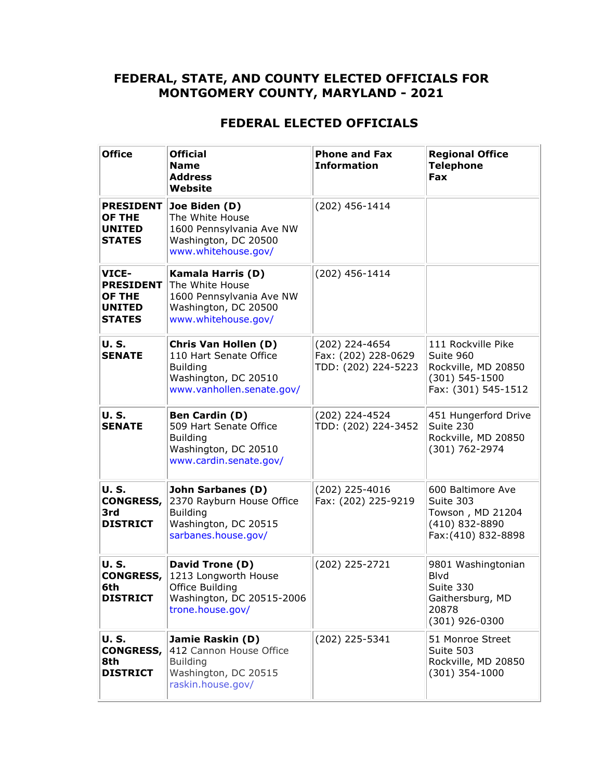#### **FEDERAL, STATE, AND COUNTY ELECTED OFFICIALS FOR MONTGOMERY COUNTY, MARYLAND - 2021**

### **FEDERAL ELECTED OFFICIALS**

| <b>Office</b>                                                                | <b>Official</b><br><b>Name</b><br><b>Address</b><br>Website                                                             | <b>Phone and Fax</b><br><b>Information</b>                   | <b>Regional Office</b><br><b>Telephone</b><br><b>Fax</b>                                        |
|------------------------------------------------------------------------------|-------------------------------------------------------------------------------------------------------------------------|--------------------------------------------------------------|-------------------------------------------------------------------------------------------------|
| <b>PRESIDENT</b><br><b>OF THE</b><br><b>UNITED</b><br><b>STATES</b>          | Joe Biden (D)<br>The White House<br>1600 Pennsylvania Ave NW<br>Washington, DC 20500<br>www.whitehouse.gov/             | (202) 456-1414                                               |                                                                                                 |
| VICE-<br><b>PRESIDENT</b><br><b>OF THE</b><br><b>UNITED</b><br><b>STATES</b> | <b>Kamala Harris (D)</b><br>The White House<br>1600 Pennsylvania Ave NW<br>Washington, DC 20500<br>www.whitehouse.gov/  | (202) 456-1414                                               |                                                                                                 |
| <b>U.S.</b><br><b>SENATE</b>                                                 | Chris Van Hollen (D)<br>110 Hart Senate Office<br><b>Building</b><br>Washington, DC 20510<br>www.vanhollen.senate.gov/  | (202) 224-4654<br>Fax: (202) 228-0629<br>TDD: (202) 224-5223 | 111 Rockville Pike<br>Suite 960<br>Rockville, MD 20850<br>(301) 545-1500<br>Fax: (301) 545-1512 |
| <b>U.S.</b><br><b>SENATE</b>                                                 | <b>Ben Cardin (D)</b><br>509 Hart Senate Office<br><b>Building</b><br>Washington, DC 20510<br>www.cardin.senate.gov/    | (202) 224-4524<br>TDD: (202) 224-3452                        | 451 Hungerford Drive<br>Suite 230<br>Rockville, MD 20850<br>(301) 762-2974                      |
| <b>U.S.</b><br><b>CONGRESS,</b><br>3rd<br><b>DISTRICT</b>                    | <b>John Sarbanes (D)</b><br>2370 Rayburn House Office<br><b>Building</b><br>Washington, DC 20515<br>sarbanes.house.gov/ | (202) 225-4016<br>Fax: (202) 225-9219                        | 600 Baltimore Ave<br>Suite 303<br>Towson, MD 21204<br>(410) 832-8890<br>Fax: (410) 832-8898     |
| <b>U.S.</b><br><b>CONGRESS,</b><br>6th<br><b>DISTRICT</b>                    | David Trone (D)<br>1213 Longworth House<br>Office Building<br>Washington, DC 20515-2006<br>trone.house.gov/             | (202) 225-2721                                               | 9801 Washingtonian<br>Blvd<br>Suite 330<br>Gaithersburg, MD<br>20878<br>(301) 926-0300          |
| <b>U.S.</b><br><b>CONGRESS,</b><br>8th<br><b>DISTRICT</b>                    | Jamie Raskin (D)<br>412 Cannon House Office<br><b>Building</b><br>Washington, DC 20515<br>raskin.house.gov/             | (202) 225-5341                                               | 51 Monroe Street<br>Suite 503<br>Rockville, MD 20850<br>$(301)$ 354-1000                        |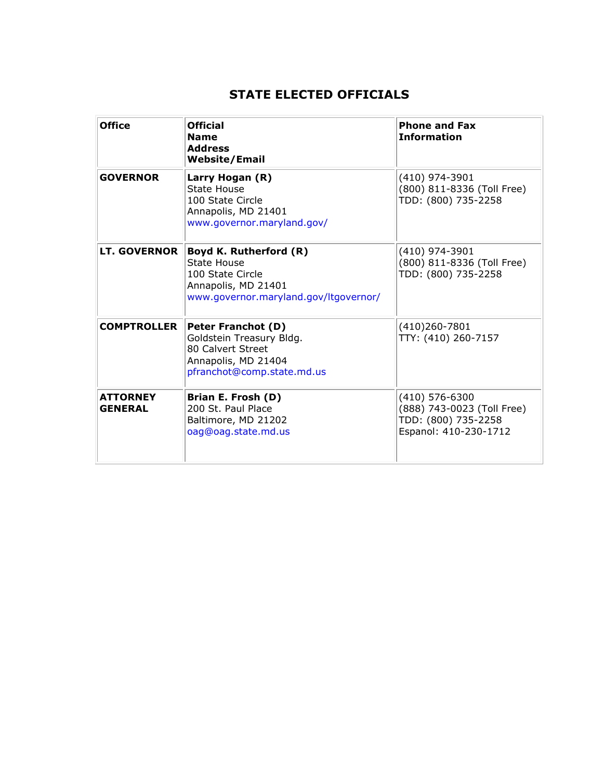# **STATE ELECTED OFFICIALS**

| <b>Office</b>                     | <b>Official</b><br><b>Name</b><br><b>Address</b><br><b>Website/Email</b>                                                        | <b>Phone and Fax</b><br><b>Information</b>                                                     |
|-----------------------------------|---------------------------------------------------------------------------------------------------------------------------------|------------------------------------------------------------------------------------------------|
| <b>GOVERNOR</b>                   | Larry Hogan (R)<br><b>State House</b><br>100 State Circle<br>Annapolis, MD 21401<br>www.governor.maryland.gov/                  | (410) 974-3901<br>(800) 811-8336 (Toll Free)<br>TDD: (800) 735-2258                            |
| <b>LT. GOVERNOR</b>               | Boyd K. Rutherford (R)<br>State House<br>100 State Circle<br>Annapolis, MD 21401<br>www.governor.maryland.gov/ltgovernor/       | (410) 974-3901<br>(800) 811-8336 (Toll Free)<br>TDD: (800) 735-2258                            |
| <b>COMPTROLLER</b>                | <b>Peter Franchot (D)</b><br>Goldstein Treasury Bldg.<br>80 Calvert Street<br>Annapolis, MD 21404<br>pfranchot@comp.state.md.us | $(410)260 - 7801$<br>TTY: (410) 260-7157                                                       |
| <b>ATTORNEY</b><br><b>GENERAL</b> | Brian E. Frosh (D)<br>200 St. Paul Place<br>Baltimore, MD 21202<br>oag@oag.state.md.us                                          | $(410)$ 576-6300<br>(888) 743-0023 (Toll Free)<br>TDD: (800) 735-2258<br>Espanol: 410-230-1712 |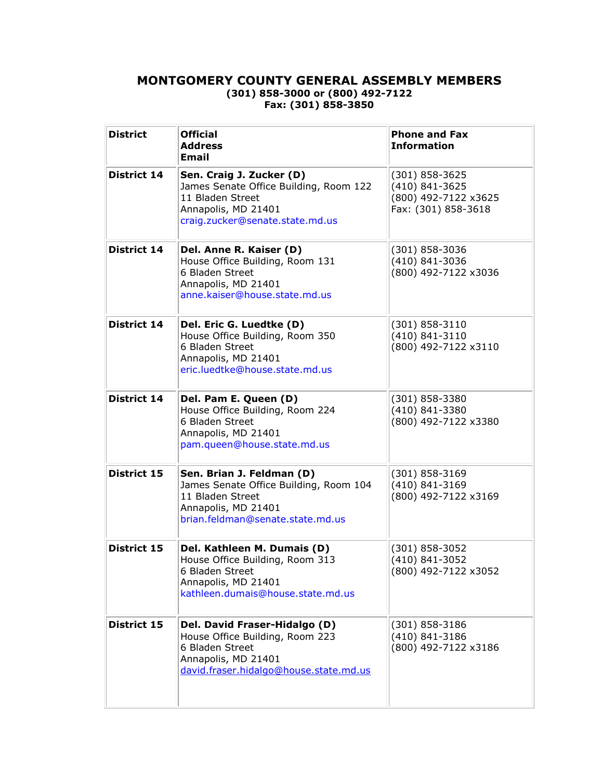#### **MONTGOMERY COUNTY GENERAL ASSEMBLY MEMBERS (301) 858-3000 or (800) 492-7122 Fax: (301) 858-3850**

| <b>District</b>    | <b>Official</b><br><b>Address</b><br><b>Email</b>                                                                                                    | <b>Phone and Fax</b><br><b>Information</b>                                          |
|--------------------|------------------------------------------------------------------------------------------------------------------------------------------------------|-------------------------------------------------------------------------------------|
| District 14        | Sen. Craig J. Zucker (D)<br>James Senate Office Building, Room 122<br>11 Bladen Street<br>Annapolis, MD 21401<br>craig.zucker@senate.state.md.us     | $(301) 858 - 3625$<br>(410) 841-3625<br>(800) 492-7122 x3625<br>Fax: (301) 858-3618 |
| District 14        | Del. Anne R. Kaiser (D)<br>House Office Building, Room 131<br>6 Bladen Street<br>Annapolis, MD 21401<br>anne.kaiser@house.state.md.us                | (301) 858-3036<br>(410) 841-3036<br>(800) 492-7122 x3036                            |
| District 14        | Del. Eric G. Luedtke (D)<br>House Office Building, Room 350<br>6 Bladen Street<br>Annapolis, MD 21401<br>eric.luedtke@house.state.md.us              | (301) 858-3110<br>(410) 841-3110<br>(800) 492-7122 x3110                            |
| <b>District 14</b> | Del. Pam E. Queen (D)<br>House Office Building, Room 224<br>6 Bladen Street<br>Annapolis, MD 21401<br>pam.queen@house.state.md.us                    | (301) 858-3380<br>(410) 841-3380<br>(800) 492-7122 x3380                            |
| District 15        | Sen. Brian J. Feldman (D)<br>James Senate Office Building, Room 104<br>11 Bladen Street<br>Annapolis, MD 21401<br>brian.feldman@senate.state.md.us   | $(301) 858 - 3169$<br>(410) 841-3169<br>(800) 492-7122 x3169                        |
| District 15        | Del. Kathleen M. Dumais (D)<br>House Office Building, Room 313<br>6 Bladen Street<br>Annapolis, MD 21401<br>kathleen.dumais@house.state.md.us        | (301) 858-3052<br>(410) 841-3052<br>(800) 492-7122 x3052                            |
| District 15        | Del. David Fraser-Hidalgo (D)<br>House Office Building, Room 223<br>6 Bladen Street<br>Annapolis, MD 21401<br>david.fraser.hidalgo@house.state.md.us | $(301)$ 858-3186<br>(410) 841-3186<br>(800) 492-7122 x3186                          |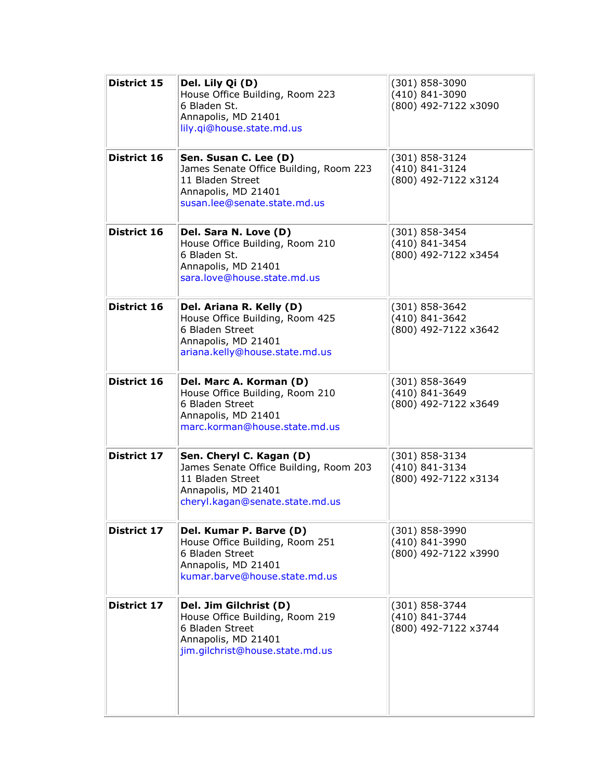| District 15        | Del. Lily Qi (D)<br>House Office Building, Room 223<br>6 Bladen St.<br>Annapolis, MD 21401<br>lily.qi@house.state.md.us                          | (301) 858-3090<br>(410) 841-3090<br>(800) 492-7122 x3090 |
|--------------------|--------------------------------------------------------------------------------------------------------------------------------------------------|----------------------------------------------------------|
| District 16        | Sen. Susan C. Lee (D)<br>James Senate Office Building, Room 223<br>11 Bladen Street<br>Annapolis, MD 21401<br>susan.lee@senate.state.md.us       | (301) 858-3124<br>(410) 841-3124<br>(800) 492-7122 x3124 |
| <b>District 16</b> | Del. Sara N. Love (D)<br>House Office Building, Room 210<br>6 Bladen St.<br>Annapolis, MD 21401<br>sara.love@house.state.md.us                   | (301) 858-3454<br>(410) 841-3454<br>(800) 492-7122 x3454 |
| District 16        | Del. Ariana R. Kelly (D)<br>House Office Building, Room 425<br>6 Bladen Street<br>Annapolis, MD 21401<br>ariana.kelly@house.state.md.us          | (301) 858-3642<br>(410) 841-3642<br>(800) 492-7122 x3642 |
| District 16        | Del. Marc A. Korman (D)<br>House Office Building, Room 210<br>6 Bladen Street<br>Annapolis, MD 21401<br>marc.korman@house.state.md.us            | (301) 858-3649<br>(410) 841-3649<br>(800) 492-7122 x3649 |
| District 17        | Sen. Cheryl C. Kagan (D)<br>James Senate Office Building, Room 203<br>11 Bladen Street<br>Annapolis, MD 21401<br>cheryl.kagan@senate.state.md.us | (301) 858-3134<br>(410) 841-3134<br>(800) 492-7122 x3134 |
| <b>District 17</b> | Del. Kumar P. Barve (D)<br>House Office Building, Room 251<br>6 Bladen Street<br>Annapolis, MD 21401<br>kumar.barve@house.state.md.us            | (301) 858-3990<br>(410) 841-3990<br>(800) 492-7122 x3990 |
| <b>District 17</b> | Del. Jim Gilchrist (D)<br>House Office Building, Room 219<br>6 Bladen Street<br>Annapolis, MD 21401<br>jim.gilchrist@house.state.md.us           | (301) 858-3744<br>(410) 841-3744<br>(800) 492-7122 x3744 |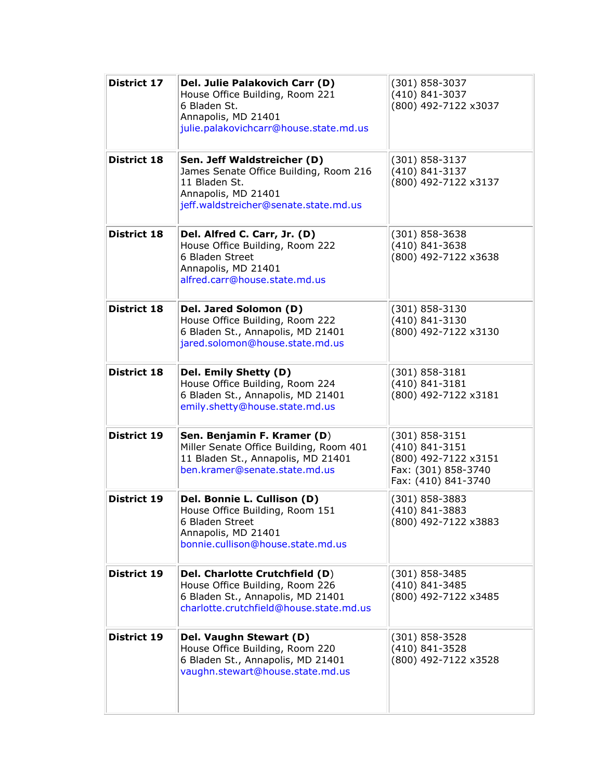| District 17        | Del. Julie Palakovich Carr (D)<br>House Office Building, Room 221<br>6 Bladen St.<br>Annapolis, MD 21401<br>julie.palakovichcarr@house.state.md.us     | (301) 858-3037<br>(410) 841-3037<br>(800) 492-7122 x3037                                                   |
|--------------------|--------------------------------------------------------------------------------------------------------------------------------------------------------|------------------------------------------------------------------------------------------------------------|
| <b>District 18</b> | Sen. Jeff Waldstreicher (D)<br>James Senate Office Building, Room 216<br>11 Bladen St.<br>Annapolis, MD 21401<br>jeff.waldstreicher@senate.state.md.us | (301) 858-3137<br>(410) 841-3137<br>(800) 492-7122 x3137                                                   |
| <b>District 18</b> | Del. Alfred C. Carr, Jr. (D)<br>House Office Building, Room 222<br>6 Bladen Street<br>Annapolis, MD 21401<br>alfred.carr@house.state.md.us             | $(301)$ 858-3638<br>(410) 841-3638<br>(800) 492-7122 x3638                                                 |
| <b>District 18</b> | Del. Jared Solomon (D)<br>House Office Building, Room 222<br>6 Bladen St., Annapolis, MD 21401<br>jared.solomon@house.state.md.us                      | (301) 858-3130<br>(410) 841-3130<br>(800) 492-7122 x3130                                                   |
| <b>District 18</b> | Del. Emily Shetty (D)<br>House Office Building, Room 224<br>6 Bladen St., Annapolis, MD 21401<br>emily.shetty@house.state.md.us                        | (301) 858-3181<br>$(410)$ 841-3181<br>(800) 492-7122 x3181                                                 |
| <b>District 19</b> | Sen. Benjamin F. Kramer (D)<br>Miller Senate Office Building, Room 401<br>11 Bladen St., Annapolis, MD 21401<br>ben.kramer@senate.state.md.us          | $(301) 858 - 3151$<br>(410) 841-3151<br>(800) 492-7122 x3151<br>Fax: (301) 858-3740<br>Fax: (410) 841-3740 |
| <b>District 19</b> | Del. Bonnie L. Cullison (D)<br>House Office Building, Room 151<br>6 Bladen Street<br>Annapolis, MD 21401<br>bonnie.cullison@house.state.md.us          | (301) 858-3883<br>(410) 841-3883<br>(800) 492-7122 x3883                                                   |
| <b>District 19</b> | Del. Charlotte Crutchfield (D)<br>House Office Building, Room 226<br>6 Bladen St., Annapolis, MD 21401<br>charlotte.crutchfield@house.state.md.us      | $(301)$ 858-3485<br>(410) 841-3485<br>(800) 492-7122 x3485                                                 |
| <b>District 19</b> | Del. Vaughn Stewart (D)<br>House Office Building, Room 220<br>6 Bladen St., Annapolis, MD 21401<br>vaughn.stewart@house.state.md.us                    | $(301)$ 858-3528<br>(410) 841-3528<br>(800) 492-7122 x3528                                                 |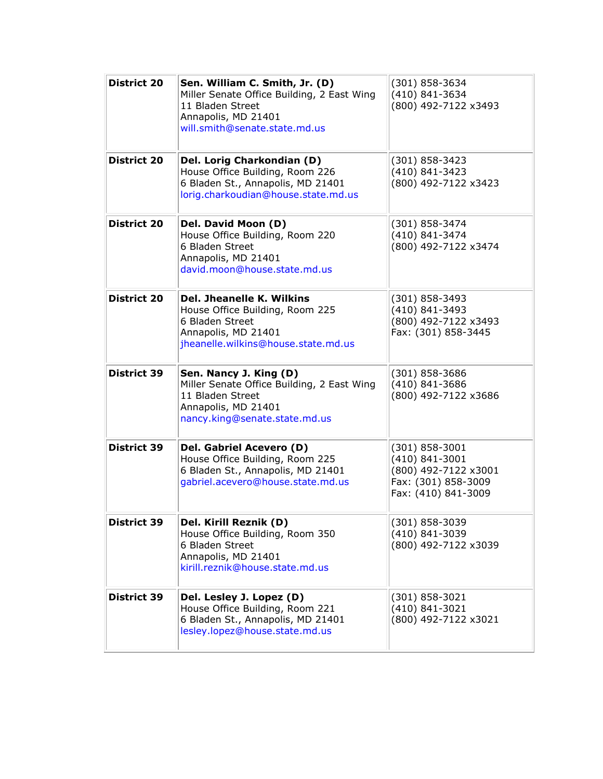| <b>District 20</b> | Sen. William C. Smith, Jr. (D)<br>Miller Senate Office Building, 2 East Wing<br>11 Bladen Street<br>Annapolis, MD 21401<br>will.smith@senate.state.md.us | (301) 858-3634<br>(410) 841-3634<br>(800) 492-7122 x3493                                                     |
|--------------------|----------------------------------------------------------------------------------------------------------------------------------------------------------|--------------------------------------------------------------------------------------------------------------|
| <b>District 20</b> | Del. Lorig Charkondian (D)<br>House Office Building, Room 226<br>6 Bladen St., Annapolis, MD 21401<br>lorig.charkoudian@house.state.md.us                | $(301) 858 - 3423$<br>(410) 841-3423<br>(800) 492-7122 x3423                                                 |
| <b>District 20</b> | Del. David Moon (D)<br>House Office Building, Room 220<br>6 Bladen Street<br>Annapolis, MD 21401<br>david.moon@house.state.md.us                         | (301) 858-3474<br>(410) 841-3474<br>(800) 492-7122 x3474                                                     |
| <b>District 20</b> | Del. Jheanelle K. Wilkins<br>House Office Building, Room 225<br>6 Bladen Street<br>Annapolis, MD 21401<br>jheanelle.wilkins@house.state.md.us            | (301) 858-3493<br>(410) 841-3493<br>(800) 492-7122 x3493<br>Fax: (301) 858-3445                              |
| <b>District 39</b> | Sen. Nancy J. King (D)<br>Miller Senate Office Building, 2 East Wing<br>11 Bladen Street<br>Annapolis, MD 21401<br>nancy.king@senate.state.md.us         | (301) 858-3686<br>(410) 841-3686<br>(800) 492-7122 x3686                                                     |
| <b>District 39</b> | Del. Gabriel Acevero (D)<br>House Office Building, Room 225<br>6 Bladen St., Annapolis, MD 21401<br>gabriel.acevero@house.state.md.us                    | $(301) 858 - 3001$<br>$(410)$ 841-3001<br>(800) 492-7122 x3001<br>Fax: (301) 858-3009<br>Fax: (410) 841-3009 |
| <b>District 39</b> | Del. Kirill Reznik (D)<br>House Office Building, Room 350<br>6 Bladen Street<br>Annapolis, MD 21401<br>kirill.reznik@house.state.md.us                   | (301) 858-3039<br>(410) 841-3039<br>(800) 492-7122 x3039                                                     |
| <b>District 39</b> | Del. Lesley J. Lopez (D)<br>House Office Building, Room 221<br>6 Bladen St., Annapolis, MD 21401<br>lesley.lopez@house.state.md.us                       | (301) 858-3021<br>(410) 841-3021<br>(800) 492-7122 x3021                                                     |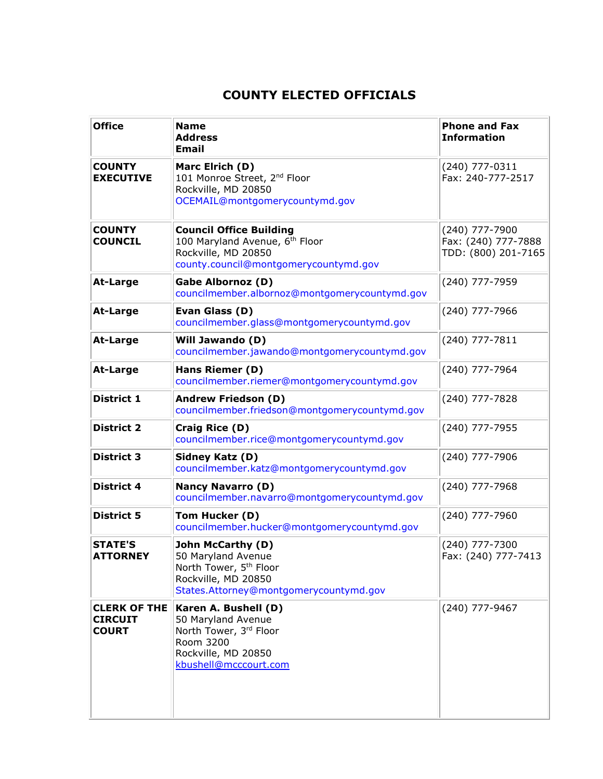## **COUNTY ELECTED OFFICIALS**

| <b>Office</b>                                         | <b>Name</b><br><b>Address</b><br><b>Email</b>                                                                                                         | <b>Phone and Fax</b><br><b>Information</b>                   |
|-------------------------------------------------------|-------------------------------------------------------------------------------------------------------------------------------------------------------|--------------------------------------------------------------|
| <b>COUNTY</b><br><b>EXECUTIVE</b>                     | Marc Elrich (D)<br>101 Monroe Street, 2 <sup>nd</sup> Floor<br>Rockville, MD 20850<br>OCEMAIL@montgomerycountymd.gov                                  | (240) 777-0311<br>Fax: 240-777-2517                          |
| <b>COUNTY</b><br><b>COUNCIL</b>                       | <b>Council Office Building</b><br>100 Maryland Avenue, 6th Floor<br>Rockville, MD 20850<br>county.council@montgomerycountymd.gov                      | (240) 777-7900<br>Fax: (240) 777-7888<br>TDD: (800) 201-7165 |
| <b>At-Large</b>                                       | <b>Gabe Albornoz (D)</b><br>councilmember.albornoz@montgomerycountymd.gov                                                                             | (240) 777-7959                                               |
| <b>At-Large</b>                                       | Evan Glass (D)<br>councilmember.glass@montgomerycountymd.gov                                                                                          | (240) 777-7966                                               |
| <b>At-Large</b>                                       | <b>Will Jawando (D)</b><br>councilmember.jawando@montgomerycountymd.gov                                                                               | (240) 777-7811                                               |
| <b>At-Large</b>                                       | Hans Riemer (D)<br>councilmember.riemer@montgomerycountymd.gov                                                                                        | (240) 777-7964                                               |
| <b>District 1</b>                                     | <b>Andrew Friedson (D)</b><br>councilmember.friedson@montgomerycountymd.gov                                                                           | (240) 777-7828                                               |
| <b>District 2</b>                                     | Craig Rice (D)<br>councilmember.rice@montgomerycountymd.gov                                                                                           | (240) 777-7955                                               |
| <b>District 3</b>                                     | Sidney Katz (D)<br>councilmember.katz@montgomerycountymd.gov                                                                                          | (240) 777-7906                                               |
| <b>District 4</b>                                     | <b>Nancy Navarro (D)</b><br>councilmember.navarro@montgomerycountymd.gov                                                                              | (240) 777-7968                                               |
| <b>District 5</b>                                     | Tom Hucker (D)<br>councilmember.hucker@montgomerycountymd.gov                                                                                         | (240) 777-7960                                               |
| <b>STATE'S</b><br><b>ATTORNEY</b>                     | <b>John McCarthy (D)</b><br>50 Maryland Avenue<br>North Tower, 5 <sup>th</sup> Floor<br>Rockville, MD 20850<br>States.Attorney@montgomerycountymd.gov | (240) 777-7300<br>Fax: (240) 777-7413                        |
| <b>CLERK OF THE</b><br><b>CIRCUIT</b><br><b>COURT</b> | Karen A. Bushell (D)<br>50 Maryland Avenue<br>North Tower, 3rd Floor<br>Room 3200<br>Rockville, MD 20850<br>kbushell@mcccourt.com                     | (240) 777-9467                                               |